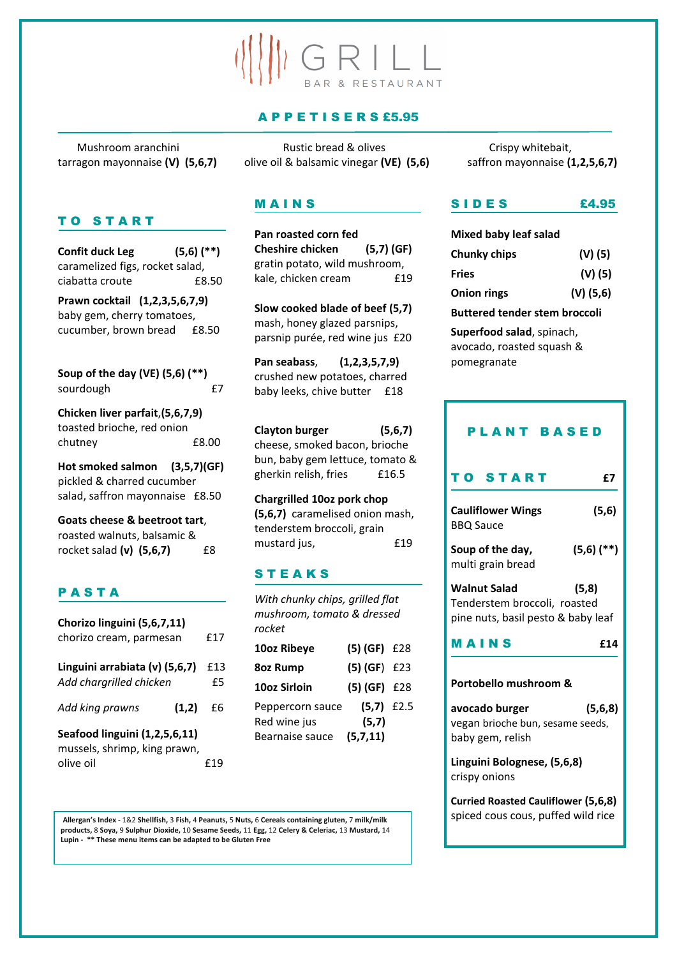# GRILL BAR & RESTAURANT

## A P P E T I S E R S £5.95

Mushroom aranchini The Rustic bread & olives Crispy whitebait, tarragon mayonnaise **(V) (5,6,7)** olive oil & balsamic vinegar **(VE) (5,6)** saffron mayonnaise **(1,2,5,6,7)**

# TO START

**Soup of the day (VE) (5,6) (\*\*)** sourdough **E7** 

**Confit duck Leg (5,6) (\*\*)**  caramelized figs, rocket salad, ciabatta croute £8.50 **Prawn cocktail (1,2,3,5,6,7,9)** baby gem, cherry tomatoes, cucumber, brown bread £8.50

**Chicken liver parfait**,**(5,6,7,9)** toasted brioche, red onion chutney £8.00

**Hot smoked salmon (3,5,7)(GF)** pickled & charred cucumber salad, saffron mayonnaise £8.50

**Pan seabass**, **(1,2,3,5,7,9)** crushed new potatoes, charred baby leeks, chive butter £18

**Clayton burger (5,6,7)** cheese, smoked bacon, brioche bun, baby gem lettuce, tomato & gherkin relish, fries £16.5

**Goats cheese & beetroot tart**, roasted walnuts, balsamic & rocket salad **(v) (5,6,7)** £8

## P A S T A

| Chorizo linguini (5,6,7,11)                               |           |
|-----------------------------------------------------------|-----------|
| chorizo cream, parmesan                                   | £17       |
| Linguini arrabiata (v) (5,6,7)<br>Add chargrilled chicken | £13<br>£5 |
| Add king prawns<br>(1,2)                                  | £6        |

**Seafood linguini (1,2,5,6,11)** mussels, shrimp, king prawn, olive oil £19

## M A I N S

**Pan roasted corn fed Cheshire chicken (5,7) (GF)** gratin potato, wild mushroom, kale, chicken cream £19

**Slow cooked blade of beef (5,7)** mash, honey glazed parsnips, parsnip purée, red wine jus £20

**Chargrilled 10oz pork chop (5,6,7)** caramelised onion mash, tenderstem broccoli, grain mustard jus, £19

# S T E A K S

*With chunky chips, grilled flat mushroom, tomato & dressed rocket* **10oz Ribeye (5) (GF)** £28 **8oz Rump (5) (GF**) £23 **10oz Sirloin (5) (GF)** £28

Peppercorn sauce **(5,7)** £2.5 Red wine jus **(5,7)** Bearnaise sauce **(5,7,11)**

# S I D E S £4.95

| <b>Mixed baby leaf salad</b> |
|------------------------------|
| $(V)$ (5)                    |
| $(V)$ (5)                    |
| $(V)$ (5,6)                  |
|                              |

**Buttered tender stem broccoli** 

**Superfood salad**, spinach, avocado, roasted squash & pomegranate

| <b>PLANT BASED</b>                                                                        |                |  |
|-------------------------------------------------------------------------------------------|----------------|--|
| TO START                                                                                  | £7             |  |
| <b>Cauliflower Wings</b><br><b>BBQ Sauce</b>                                              | (5,6)          |  |
| Soup of the day,<br>multi grain bread                                                     | $(5,6)$ $(**)$ |  |
| <b>Walnut Salad</b><br>Tenderstem broccoli, roasted<br>pine nuts, basil pesto & baby leaf | (5,8)          |  |
| MAINS                                                                                     | £14            |  |
| Portobello mushroom &                                                                     |                |  |

**avocado burger (5,6,8)**

vegan brioche bun, sesame seeds, baby gem, relish

**Linguini Bolognese, (5,6,8)**  crispy onions

**Curried Roasted Cauliflower (5,6,8)**

spiced cous cous, puffed wild rice **Allergan'<sup>s</sup> Index -** 1&2 **Shellfish,** <sup>3</sup> **Fish,** <sup>4</sup> **Peanuts,** <sup>5</sup> **Nuts,** <sup>6</sup> **Cereals containing gluten,** <sup>7</sup> **milk/milk products,** 8 **Soya,** 9 **Sulphur Dioxide,** 10 **Sesame Seeds,** 11 **Egg,** 12 **Celery & Celeriac,** 13 **Mustard,** 14 **Lupin - \*\* These menu items can be adapted to be Gluten Free**